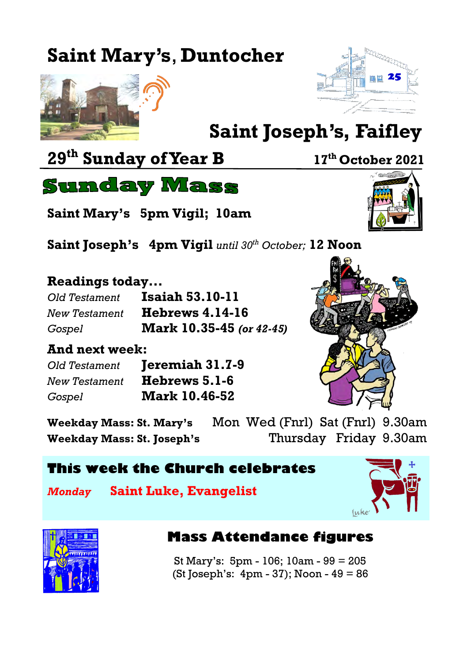# **Saint Mary's**, **Duntocher**





# **Saint Joseph's, Faifley**

**29th Sunday of Year B <sup>17</sup>th October 2021**



**Saint Mary's 5pm Vigil; 10am**

**Saint Joseph's 4pm Vigil** *until 30th October;* **12 Noon**

#### **Readings today...**

| Old Testament | <b>Isaiah 53.10-11</b>          |
|---------------|---------------------------------|
| New Testament | <b>Hebrews 4.14-16</b>          |
| Gospel        | <b>Mark 10.35-45</b> (or 42-45) |

#### **And next week:**

| Old Testament | Jeremiah 31.7-9      |
|---------------|----------------------|
| New Testament | Hebrews 5.1-6        |
| Gospel        | <b>Mark 10.46-52</b> |



**Weekday Mass: St. Mary's** Mon Wed (Fnrl) Sat (Fnrl) 9.30am **Weekday Mass: St. Joseph's** Thursday Friday 9.30am

### **This week the Church celebrates**

*Monday* **Saint Luke, Evangelist**





### **Mass Attendance figures**

St Mary's: 5pm - 106; 10am - 99 = 205 (St Joseph's: 4pm - 37); Noon - 49 = 86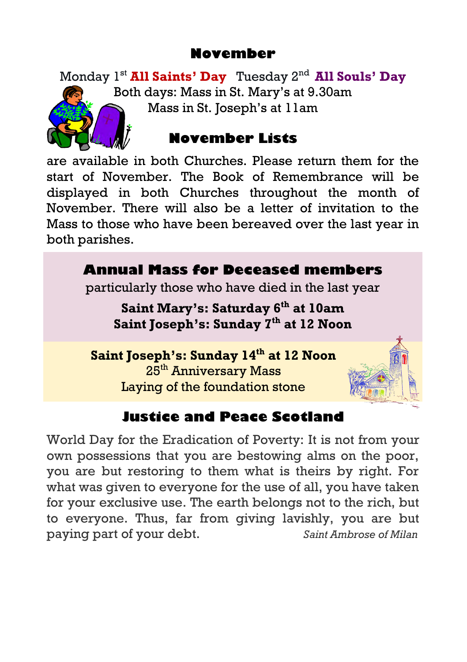# **November**

Monday 1st **All Saints' Day** Tuesday 2nd **All Souls' Day**  Both days: Mass in St. Mary's at 9.30am Mass in St. Joseph's at 11am



# **November Lists**

are available in both Churches. Please return them for the start of November. The Book of Remembrance will be displayed in both Churches throughout the month of November. There will also be a letter of invitation to the Mass to those who have been bereaved over the last year in both parishes.



# **Justice and Peace Scotland**

World Day for the Eradication of Poverty: It is not from your own possessions that you are bestowing alms on the poor, you are but restoring to them what is theirs by right. For what was given to everyone for the use of all, you have taken for your exclusive use. The earth belongs not to the rich, but to everyone. Thus, far from giving lavishly, you are but paying part of your debt. *Saint Ambrose of Milan*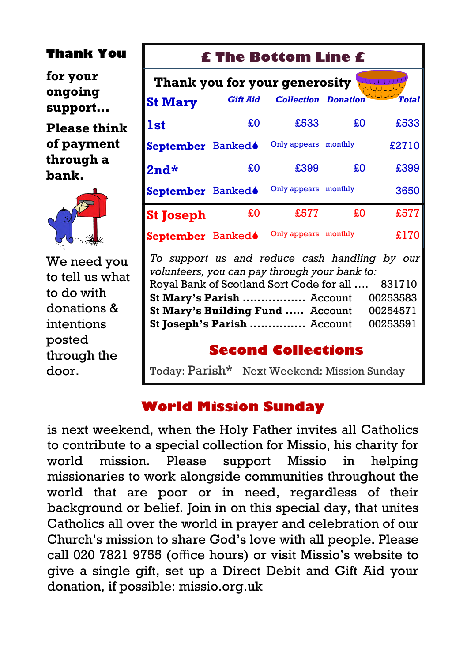## **Thank You**

**for your ongoing support…**

**Please think of payment through a bank.**



We need you to tell us what to do with donations & intentions posted through the door.

# **£ The Bottom Line £**

| Thank you for your generosity |                 |                            |         |              |  |  |
|-------------------------------|-----------------|----------------------------|---------|--------------|--|--|
| <b>St Mary</b>                | <b>Gift Aid</b> | <b>Collection Donation</b> |         | <b>Total</b> |  |  |
| <b>1st</b>                    | £O              | £533                       | £O      | £533         |  |  |
| September Banked●             |                 | Only appears monthly       |         | £2710        |  |  |
| $2nd*$                        | £O              | £399                       | £O      | £399         |  |  |
| September Bankedo             |                 | Only appears monthly       |         | 3650         |  |  |
| <b>St Joseph</b>              | £0              | £577                       | £0      | £577         |  |  |
| September Banked <sup>®</sup> |                 | Only appears               | monthly | £170         |  |  |

*To support us and reduce cash handling by our volunteers, you can pay through your bank to:* Royal Bank of Scotland Sort Code for all …. 831710 **St Mary's Parish .................** Account 00253583 **St Mary's Building Fund .....** Account 00254571 **St Joseph's Parish ...............** Account 00253591

# **Second Collections**

Today: Parish\* Next Weekend: Mission Sunday

# **World Mission Sunday**

is next weekend, when the Holy Father invites all Catholics to contribute to a special collection for Missio, his charity for world mission. Please support Missio in helping missionaries to work alongside communities throughout the world that are poor or in need, regardless of their background or belief. Join in on this special day, that unites Catholics all over the world in prayer and celebration of our Church's mission to share God's love with all people. Please call 020 7821 9755 (office hours) or visit Missio's website to give a single gift, set up a Direct Debit and Gift Aid your donation, if possible: missio.org.uk